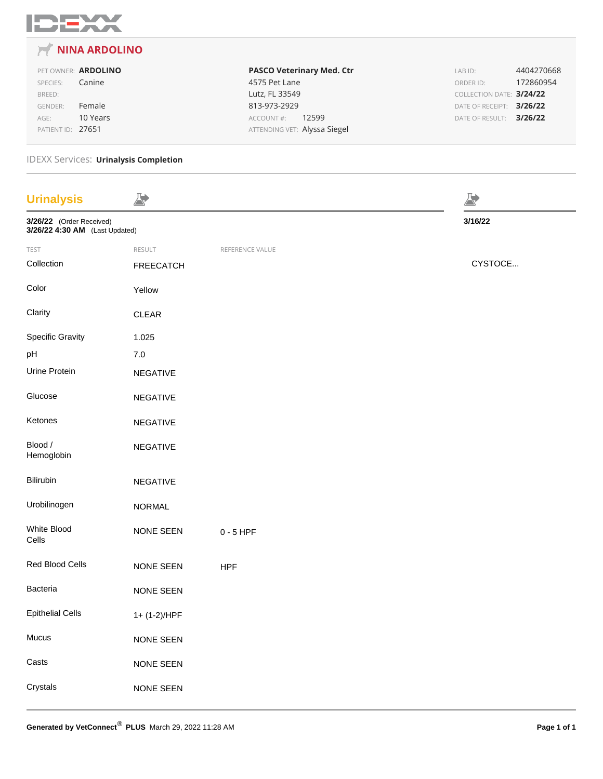

#### **NINA ARDOLINO**  $\overline{r}$

PET OWNER: **ARDOLINO** SPECIES: Canine BREED: GENDER: Female AGE: 10 Years PATIENT ID: 27651

**PASCO Veterinary Med. Ctr** 4575 Pet Lane Lutz, FL 33549 813-973-2929 ACCOUNT #: 12599 ATTENDING VET: Alyssa Siegel

LAB ID: 4404270668 ORDER ID: 172860954 COLLECTION DATE: **3/24/22** DATE OF RECEIPT: **3/26/22** DATE OF RESULT: **3/26/22**

### IDEXX Services: **Urinalysis Completion**

| <b>Urinalysis</b>                                          | A)               |                 | Þ       |
|------------------------------------------------------------|------------------|-----------------|---------|
| 3/26/22 (Order Received)<br>3/26/22 4:30 AM (Last Updated) |                  |                 | 3/16/22 |
| TEST                                                       | RESULT           | REFERENCE VALUE |         |
| Collection                                                 | <b>FREECATCH</b> |                 | CYSTOCE |
| Color                                                      | Yellow           |                 |         |
| Clarity                                                    | CLEAR            |                 |         |
| <b>Specific Gravity</b>                                    | 1.025            |                 |         |
| pH                                                         | $7.0\,$          |                 |         |
| Urine Protein                                              | NEGATIVE         |                 |         |
| Glucose                                                    | NEGATIVE         |                 |         |
| Ketones                                                    | NEGATIVE         |                 |         |
| Blood /<br>Hemoglobin                                      | NEGATIVE         |                 |         |
| Bilirubin                                                  | NEGATIVE         |                 |         |
| Urobilinogen                                               | NORMAL           |                 |         |
| White Blood<br>Cells                                       | NONE SEEN        | $0 - 5$ HPF     |         |
| Red Blood Cells                                            | NONE SEEN        | <b>HPF</b>      |         |
| Bacteria                                                   | NONE SEEN        |                 |         |
| <b>Epithelial Cells</b>                                    | 1+ (1-2)/HPF     |                 |         |
| Mucus                                                      | NONE SEEN        |                 |         |
| Casts                                                      | NONE SEEN        |                 |         |
| Crystals                                                   | NONE SEEN        |                 |         |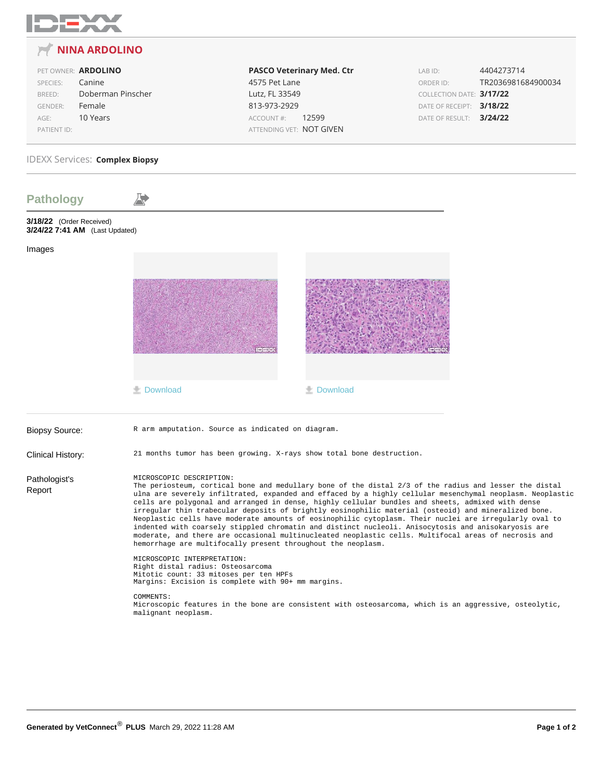

#### **NINA ARDOLINO** 戸

### PET OWNER: **ARDOLINO** SPECIES: Canine

| SEELIES.       | Callille          |
|----------------|-------------------|
| BREED:         | Doberman Pinscher |
| <b>GENDER:</b> | Female            |
| $AGE$ :        | 10 Years          |
| PATIENT ID:    |                   |

## **PASCO Veterinary Med. Ctr** 4575 Pet Lane Lutz, FL 33549 813-973-2929 ACCOUNT #: 12599 ATTENDING VET: NOT GIVEN

LAB ID: 4404273714 ORDER ID: TR2036981684900034 COLLECTION DATE: **3/17/22** DATE OF RECEIPT: **3/18/22** DATE OF RESULT: **3/24/22**

## IDEXX Services: **Complex Biopsy**

| <b>Pathology</b>                                           |                                                                                                                                                                                                                                                                                                                                                                                                                                                                                                                                                                                                                                                                                                                                                                                                                                                       |                                                                                                        |  |  |  |  |  |
|------------------------------------------------------------|-------------------------------------------------------------------------------------------------------------------------------------------------------------------------------------------------------------------------------------------------------------------------------------------------------------------------------------------------------------------------------------------------------------------------------------------------------------------------------------------------------------------------------------------------------------------------------------------------------------------------------------------------------------------------------------------------------------------------------------------------------------------------------------------------------------------------------------------------------|--------------------------------------------------------------------------------------------------------|--|--|--|--|--|
| 3/18/22 (Order Received)<br>3/24/22 7:41 AM (Last Updated) |                                                                                                                                                                                                                                                                                                                                                                                                                                                                                                                                                                                                                                                                                                                                                                                                                                                       |                                                                                                        |  |  |  |  |  |
| Images                                                     |                                                                                                                                                                                                                                                                                                                                                                                                                                                                                                                                                                                                                                                                                                                                                                                                                                                       |                                                                                                        |  |  |  |  |  |
|                                                            |                                                                                                                                                                                                                                                                                                                                                                                                                                                                                                                                                                                                                                                                                                                                                                                                                                                       |                                                                                                        |  |  |  |  |  |
|                                                            |                                                                                                                                                                                                                                                                                                                                                                                                                                                                                                                                                                                                                                                                                                                                                                                                                                                       |                                                                                                        |  |  |  |  |  |
|                                                            | <b>土 Download</b>                                                                                                                                                                                                                                                                                                                                                                                                                                                                                                                                                                                                                                                                                                                                                                                                                                     | <b>土 Download</b>                                                                                      |  |  |  |  |  |
| <b>Biopsy Source:</b>                                      | R arm amputation. Source as indicated on diagram.                                                                                                                                                                                                                                                                                                                                                                                                                                                                                                                                                                                                                                                                                                                                                                                                     |                                                                                                        |  |  |  |  |  |
| Clinical History:                                          | 21 months tumor has been growing. X-rays show total bone destruction.                                                                                                                                                                                                                                                                                                                                                                                                                                                                                                                                                                                                                                                                                                                                                                                 |                                                                                                        |  |  |  |  |  |
| Pathologist's<br>Report                                    | MICROSCOPIC DESCRIPTION:<br>The periosteum, cortical bone and medullary bone of the distal 2/3 of the radius and lesser the distal<br>ulna are severely infiltrated, expanded and effaced by a highly cellular mesenchymal neoplasm. Neoplastic<br>cells are polygonal and arranged in dense, highly cellular bundles and sheets, admixed with dense<br>irregular thin trabecular deposits of brightly eosinophilic material (osteoid) and mineralized bone.<br>Neoplastic cells have moderate amounts of eosinophilic cytoplasm. Their nuclei are irregularly oval to<br>indented with coarsely stippled chromatin and distinct nucleoli. Anisocytosis and anisokaryosis are<br>moderate, and there are occasional multinucleated neoplastic cells. Multifocal areas of necrosis and<br>hemorrhage are multifocally present throughout the neoplasm. |                                                                                                        |  |  |  |  |  |
|                                                            | MICROSCOPIC INTERPRETATION:<br>Right distal radius: Osteosarcoma<br>Mitotic count: 33 mitoses per ten HPFs<br>Margins: Excision is complete with 90+ mm margins.                                                                                                                                                                                                                                                                                                                                                                                                                                                                                                                                                                                                                                                                                      |                                                                                                        |  |  |  |  |  |
|                                                            | COMMENTS:<br>malignant neoplasm.                                                                                                                                                                                                                                                                                                                                                                                                                                                                                                                                                                                                                                                                                                                                                                                                                      | Microscopic features in the bone are consistent with osteosarcoma, which is an aggressive, osteolytic, |  |  |  |  |  |
|                                                            |                                                                                                                                                                                                                                                                                                                                                                                                                                                                                                                                                                                                                                                                                                                                                                                                                                                       |                                                                                                        |  |  |  |  |  |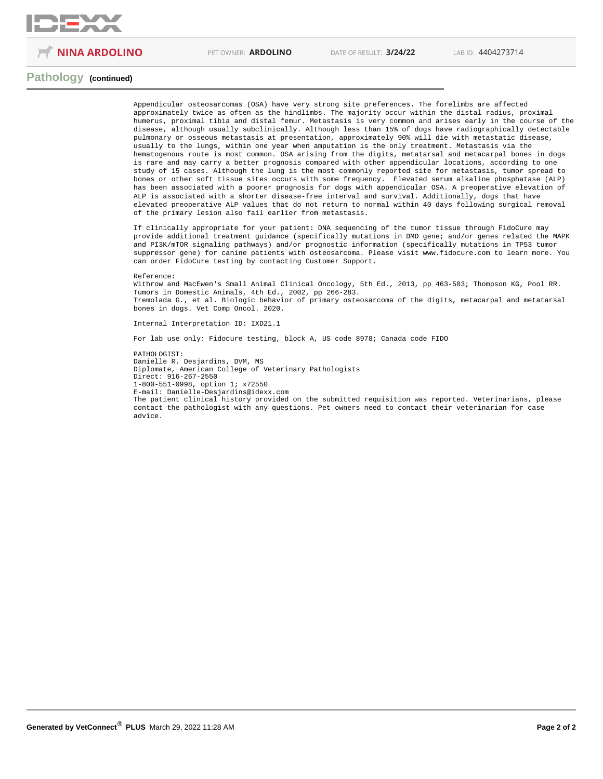

**NINA ARDOLINO** PET OWNER: **ARDOLINO** DATE OF RESULT: **3/24/22** LAB ID: 4404273714

### **Pathology (continued)**

Appendicular osteosarcomas (OSA) have very strong site preferences. The forelimbs are affected approximately twice as often as the hindlimbs. The majority occur within the distal radius, proximal humerus, proximal tibia and distal femur. Metastasis is very common and arises early in the course of the disease, although usually subclinically. Although less than 15% of dogs have radiographically detectable pulmonary or osseous metastasis at presentation, approximately 90% will die with metastatic disease, usually to the lungs, within one year when amputation is the only treatment. Metastasis via the hematogenous route is most common. OSA arising from the digits, metatarsal and metacarpal bones in dogs is rare and may carry a better prognosis compared with other appendicular locations, according to one study of 15 cases. Although the lung is the most commonly reported site for metastasis, tumor spread to bones or other soft tissue sites occurs with some frequency. Elevated serum alkaline phosphatase (ALP) has been associated with a poorer prognosis for dogs with appendicular OSA. A preoperative elevation of ALP is associated with a shorter disease-free interval and survival. Additionally, dogs that have elevated preoperative ALP values that do not return to normal within 40 days following surgical removal of the primary lesion also fail earlier from metastasis.

If clinically appropriate for your patient: DNA sequencing of the tumor tissue through FidoCure may provide additional treatment guidance (specifically mutations in DMD gene; and/or genes related the MAPK and PI3K/mTOR signaling pathways) and/or prognostic information (specifically mutations in TP53 tumor suppressor gene) for canine patients with osteosarcoma. Please visit www.fidocure.com to learn more. You can order FidoCure testing by contacting Customer Support.

#### Reference:

Withrow and MacEwen's Small Animal Clinical Oncology, 5th Ed., 2013, pp 463-503; Thompson KG, Pool RR. Tumors in Domestic Animals, 4th Ed., 2002, pp 266-283. Tremolada G., et al. Biologic behavior of primary osteosarcoma of the digits, metacarpal and metatarsal bones in dogs. Vet Comp Oncol. 2020.

Internal Interpretation ID: IXD21.1

For lab use only: Fidocure testing, block A, US code 8978; Canada code FIDO

PATHOLOGIST: Danielle R. Desjardins, DVM, MS Diplomate, American College of Veterinary Pathologists Direct: 916-267-2550 1-800-551-0998, option 1; x72550 E-mail: Danielle-Desjardins@idexx.com The patient clinical history provided on the submitted requisition was reported. Veterinarians, please contact the pathologist with any questions. Pet owners need to contact their veterinarian for case advice.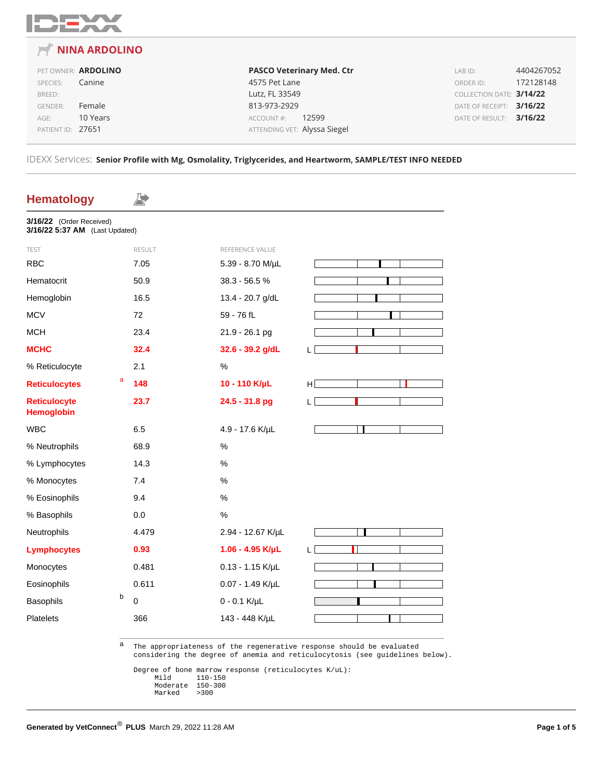

## **NINA ARDOLINO**

PET OWNER: **ARDOLINO** SPECIES: Canine BREED: GENDER: Female AGE: 10 Years PATIENT ID: 27651

**PASCO Veterinary Med. Ctr** 4575 Pet Lane Lutz, FL 33549 813-973-2929 ACCOUNT #: 12599 ATTENDING VET: Alyssa Siegel

LAB ID: 4404267052 ORDER ID: 172128148 COLLECTION DATE: **3/14/22** DATE OF RECEIPT: **3/16/22** DATE OF RESULT: **3/16/22**

IDEXX Services: **Senior Profile with Mg, Osmolality, Triglycerides, and Heartworm, SAMPLE/TEST INFO NEEDED**

## **Hematology** A) **3/16/22** (Order Received) **3/16/22 5:37 AM** (Last Updated) TEST RESULT RESULT REFERENCE VALUE RBC 7.05 5.39 - 8.70 M/µL Hematocrit 50.9 38.3 - 56.5 % Hemoglobin 16.5 13.4 - 20.7 g/dL MCV 72 59 - 76 fL MCH 23.4 21.9 - 26.1 pg **MCHC 32.4 32.6 - 39.2 g/dL** L % Reticulocyte 2.1 % **Reticulocytes** <sup>a</sup> **148 10 - 110 K/µL** H **Reticulocyte 23.7 24.5 - 31.8 pg** L **Hemoglobin** WBC 6.5 4.9 - 17.6 K/µL  $\Box$ % Neutrophils 68.9 % % Lymphocytes 14.3 % % Monocytes 7.4 % % Eosinophils 9.4 % % Basophils 0.0 % Neutrophils 4.479 2.94 - 12.67 K/µL **Lymphocytes 0.93 1.06 - 4.95 K/µL** L Н Monocytes 0.481 0.13 - 1.15 K/µL Eosinophils 0.611 0.07 - 1.49 K/µL Basophils b 0 0 - 0.1 K/µL Platelets 366 143 - 448 K/µL

a The appropriateness of the regenerative response should be evaluated considering the degree of anemia and reticulocytosis (see guidelines below).

Degree of bone marrow response (reticulocytes K/uL):<br>Mild 110-150  $110 - 150$ <br> $150 - 300$ Moderate 150-3<br>Marked >300 Marked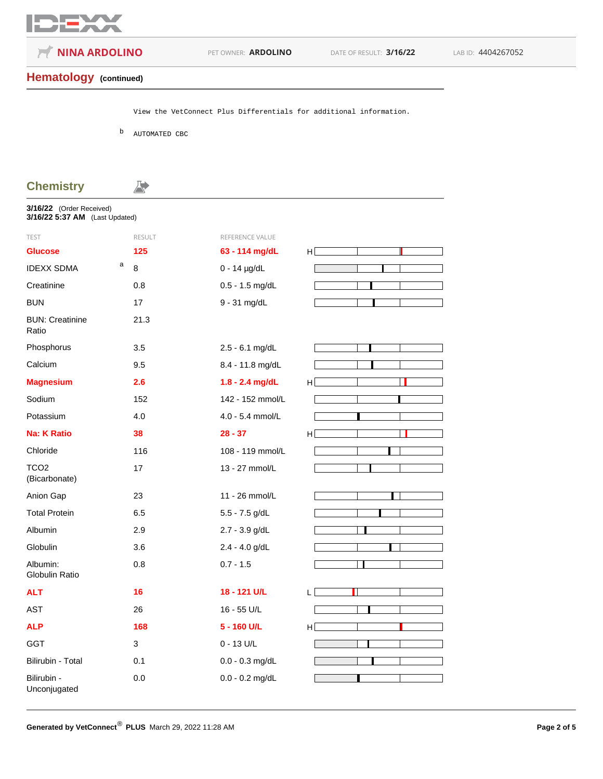

**NINA ARDOLINO** PET OWNER: **ARDOLINO** DATE OF RESULT: **3/16/22** LAB ID: 4404267052

## **Hematology (continued)**

View the VetConnect Plus Differentials for additional information.

b AUTOMATED CBC

A.

## **Chemistry**

**3/16/22** (Order Received)

| 3/16/22 5:37 AM (Last Updated)    |               |                   |    |
|-----------------------------------|---------------|-------------------|----|
| <b>TEST</b>                       | <b>RESULT</b> | REFERENCE VALUE   |    |
| <b>Glucose</b>                    | 125           | 63 - 114 mg/dL    | H  |
| a<br><b>IDEXX SDMA</b>            | 8             | $0 - 14$ µg/dL    |    |
| Creatinine                        | 0.8           | $0.5 - 1.5$ mg/dL |    |
| <b>BUN</b>                        | 17            | 9 - 31 mg/dL      |    |
| <b>BUN: Creatinine</b><br>Ratio   | 21.3          |                   |    |
| Phosphorus                        | 3.5           | 2.5 - 6.1 mg/dL   |    |
| Calcium                           | 9.5           | 8.4 - 11.8 mg/dL  |    |
| <b>Magnesium</b>                  | 2.6           | 1.8 - 2.4 mg/dL   | H  |
| Sodium                            | 152           | 142 - 152 mmol/L  |    |
| Potassium                         | 4.0           | 4.0 - 5.4 mmol/L  |    |
| <b>Na: K Ratio</b>                | 38            | $28 - 37$         | H  |
| Chloride                          | 116           | 108 - 119 mmol/L  |    |
| TCO <sub>2</sub><br>(Bicarbonate) | 17            | 13 - 27 mmol/L    |    |
| Anion Gap                         | 23            | 11 - 26 mmol/L    |    |
| <b>Total Protein</b>              | 6.5           | 5.5 - 7.5 g/dL    |    |
| Albumin                           | 2.9           | 2.7 - 3.9 g/dL    |    |
| Globulin                          | 3.6           | $2.4 - 4.0$ g/dL  |    |
| Albumin:<br><b>Globulin Ratio</b> | 0.8           | $0.7 - 1.5$       |    |
| <b>ALT</b>                        | 16            | 18 - 121 U/L      | L. |
| AST                               | 26            | 16 - 55 U/L       |    |
| <b>ALP</b>                        | 168           | 5 - 160 U/L       | H  |
| <b>GGT</b>                        | 3             | $0 - 13$ U/L      |    |
| Bilirubin - Total                 | 0.1           | $0.0 - 0.3$ mg/dL |    |
| Bilirubin -<br>Unconjugated       | 0.0           | $0.0 - 0.2$ mg/dL |    |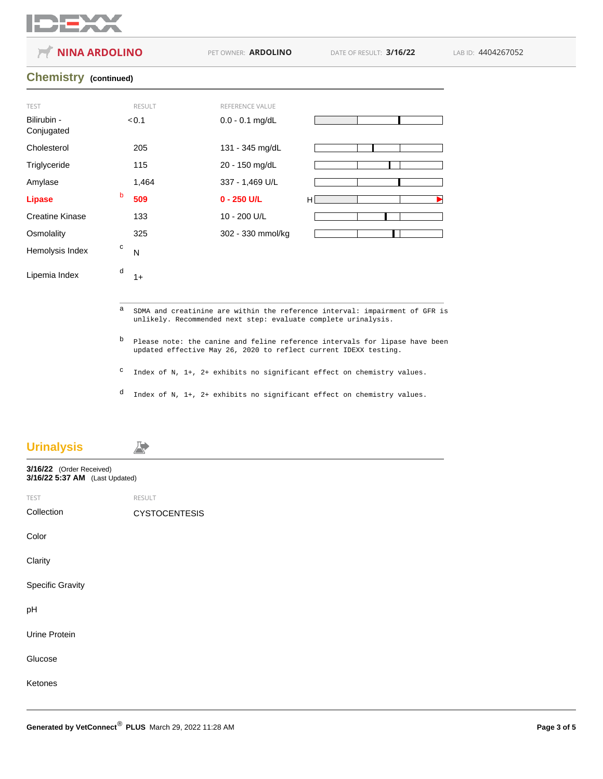

**NINA ARDOLINO** PET OWNER: **ARDOLINO** DATE OF RESULT: **3/16/22** LAB ID: 4404267052 **Chemistry (continued)** TEST RESULT RESULT REFERENCE VALUE Bilirubin - Conjugated  $< 0.1$  0.0 - 0.1 mg/dL Cholesterol 205 131 - 345 mg/dL Triglyceride 115 115 20 - 150 mg/dL Amylase 1,464 337 - 1,469 U/L **Lipase** <sup>b</sup> **509 0 - 250 U/L** H Creatine Kinase 133 10 - 200 U/L Osmolality 325 302 - 330 mmol/kg Hemolysis Index  $\overline{C}$  N c Lipemia Index  $\begin{array}{cc} a & 1+1 \\ 1 & 1 \end{array}$ d a SDMA and creatinine are within the reference interval: impairment of GFR is unlikely. Recommended next step: evaluate complete urinalysis.

> b Please note: the canine and feline reference intervals for lipase have been updated effective May 26, 2020 to reflect current IDEXX testing.

c Index of N, 1+, 2+ exhibits no significant effect on chemistry values.

d Index of N, 1+, 2+ exhibits no significant effect on chemistry values.

# **Urinalysis** 发 **3/16/22** (Order Received) **3/16/22 5:37 AM** (Last Updated) TEST RESULT Collection CYSTOCENTESIS Color **Clarity** Specific Gravity pH Urine Protein Glucose Ketones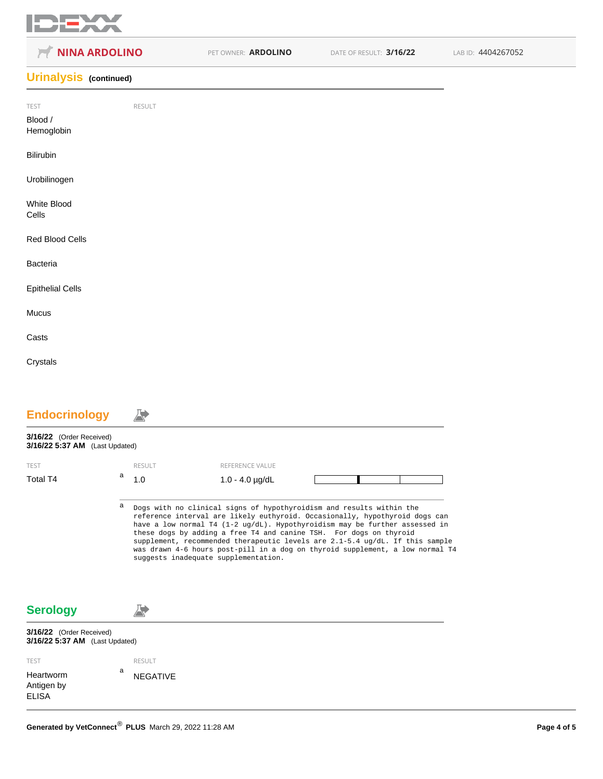

| <b>NINA ARDOLINO</b>          |        | PET OWNER: ARDOLINO | DATE OF RESULT: 3/16/22 | LAB ID: 4404267052 |
|-------------------------------|--------|---------------------|-------------------------|--------------------|
| <b>Urinalysis</b> (continued) |        |                     |                         |                    |
| TEST<br>Blood /<br>Hemoglobin | RESULT |                     |                         |                    |
| Bilirubin                     |        |                     |                         |                    |
| Urobilinogen                  |        |                     |                         |                    |
| White Blood<br>Cells          |        |                     |                         |                    |
| Red Blood Cells               |        |                     |                         |                    |
| Bacteria                      |        |                     |                         |                    |
| <b>Epithelial Cells</b>       |        |                     |                         |                    |
| Mucus                         |        |                     |                         |                    |
| Casts                         |        |                     |                         |                    |
| Crystals                      |        |                     |                         |                    |
|                               |        |                     |                         |                    |

| <b>Endocrinology</b>                                       |   |                 |                                                                                                                                                                                                                                                                                                                                                                                                                                                                                                                              |  |  |
|------------------------------------------------------------|---|-----------------|------------------------------------------------------------------------------------------------------------------------------------------------------------------------------------------------------------------------------------------------------------------------------------------------------------------------------------------------------------------------------------------------------------------------------------------------------------------------------------------------------------------------------|--|--|
| 3/16/22 (Order Received)<br>3/16/22 5:37 AM (Last Updated) |   |                 |                                                                                                                                                                                                                                                                                                                                                                                                                                                                                                                              |  |  |
| <b>TEST</b>                                                |   | <b>RESULT</b>   | REFERENCE VALUE                                                                                                                                                                                                                                                                                                                                                                                                                                                                                                              |  |  |
| Total T4                                                   | a | 1.0             | $1.0 - 4.0$ $\mu$ g/dL                                                                                                                                                                                                                                                                                                                                                                                                                                                                                                       |  |  |
|                                                            | а |                 | Dogs with no clinical signs of hypothyroidism and results within the<br>reference interval are likely euthyroid. Occasionally, hypothyroid dogs can<br>have a low normal T4 $(1-2 \text{ ug}/dL)$ . Hypothyroidism may be further assessed in<br>these dogs by adding a free T4 and canine TSH. For dogs on thyroid<br>supplement, recommended therapeutic levels are 2.1-5.4 ug/dL. If this sample<br>was drawn 4-6 hours post-pill in a dog on thyroid supplement, a low normal T4<br>suggests inadequate supplementation. |  |  |
| <b>Serology</b>                                            |   |                 |                                                                                                                                                                                                                                                                                                                                                                                                                                                                                                                              |  |  |
| 3/16/22 (Order Received)<br>3/16/22 5:37 AM (Last Updated) |   |                 |                                                                                                                                                                                                                                                                                                                                                                                                                                                                                                                              |  |  |
| <b>TEST</b>                                                |   | <b>RESULT</b>   |                                                                                                                                                                                                                                                                                                                                                                                                                                                                                                                              |  |  |
| Heartworm<br>Antigen by<br><b>ELISA</b>                    | a | <b>NEGATIVE</b> |                                                                                                                                                                                                                                                                                                                                                                                                                                                                                                                              |  |  |
|                                                            |   |                 |                                                                                                                                                                                                                                                                                                                                                                                                                                                                                                                              |  |  |

■